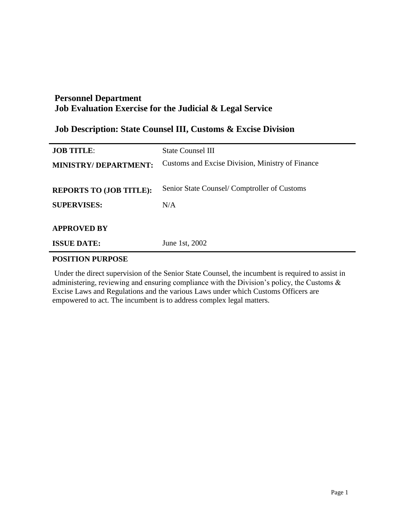## **Job Description: State Counsel III, Customs & Excise Division**

| <b>JOB TITLE:</b>                        | <b>State Counsel III</b>                         |
|------------------------------------------|--------------------------------------------------|
| <b>MINISTRY/DEPARTMENT:</b>              | Customs and Excise Division, Ministry of Finance |
| <b>REPORTS TO (JOB TITLE):</b>           | Senior State Counsel/Comptroller of Customs      |
| <b>SUPERVISES:</b>                       | N/A                                              |
| <b>APPROVED BY</b><br><b>ISSUE DATE:</b> | June 1st, 2002                                   |

### **POSITION PURPOSE**

Under the direct supervision of the Senior State Counsel, the incumbent is required to assist in administering, reviewing and ensuring compliance with the Division's policy, the Customs & Excise Laws and Regulations and the various Laws under which Customs Officers are empowered to act. The incumbent is to address complex legal matters.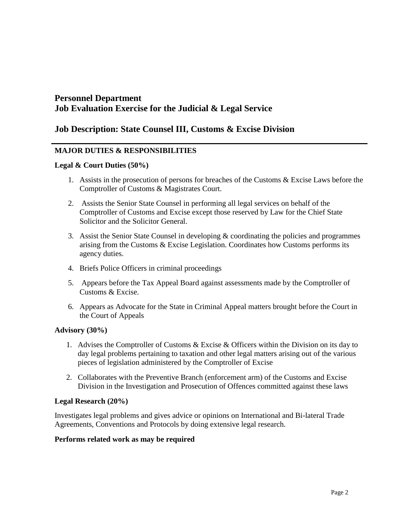## **Job Description: State Counsel III, Customs & Excise Division**

### **MAJOR DUTIES & RESPONSIBILITIES**

#### **Legal & Court Duties (50%)**

- 1. Assists in the prosecution of persons for breaches of the Customs & Excise Laws before the Comptroller of Customs & Magistrates Court.
- 2. Assists the Senior State Counsel in performing all legal services on behalf of the Comptroller of Customs and Excise except those reserved by Law for the Chief State Solicitor and the Solicitor General.
- 3. Assist the Senior State Counsel in developing & coordinating the policies and programmes arising from the Customs & Excise Legislation. Coordinates how Customs performs its agency duties.
- 4. Briefs Police Officers in criminal proceedings
- 5. Appears before the Tax Appeal Board against assessments made by the Comptroller of Customs & Excise.
- 6. Appears as Advocate for the State in Criminal Appeal matters brought before the Court in the Court of Appeals

#### **Advisory (30%)**

- 1. Advises the Comptroller of Customs & Excise & Officers within the Division on its day to day legal problems pertaining to taxation and other legal matters arising out of the various pieces of legislation administered by the Comptroller of Excise
- 2. Collaborates with the Preventive Branch (enforcement arm) of the Customs and Excise Division in the Investigation and Prosecution of Offences committed against these laws

#### **Legal Research (20%)**

Investigates legal problems and gives advice or opinions on International and Bi-lateral Trade Agreements, Conventions and Protocols by doing extensive legal research.

#### **Performs related work as may be required**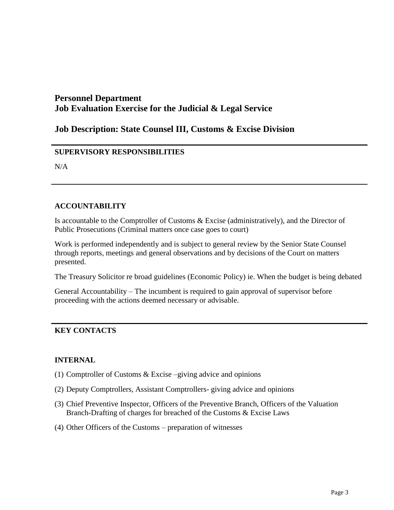## **Job Description: State Counsel III, Customs & Excise Division**

### **SUPERVISORY RESPONSIBILITIES**

N/A

#### **ACCOUNTABILITY**

Is accountable to the Comptroller of Customs & Excise (administratively), and the Director of Public Prosecutions (Criminal matters once case goes to court)

Work is performed independently and is subject to general review by the Senior State Counsel through reports, meetings and general observations and by decisions of the Court on matters presented.

The Treasury Solicitor re broad guidelines (Economic Policy) ie. When the budget is being debated

General Accountability – The incumbent is required to gain approval of supervisor before proceeding with the actions deemed necessary or advisable.

### **KEY CONTACTS**

#### **INTERNAL**

- (1) Comptroller of Customs & Excise –giving advice and opinions
- (2) Deputy Comptrollers, Assistant Comptrollers- giving advice and opinions
- (3) Chief Preventive Inspector, Officers of the Preventive Branch, Officers of the Valuation Branch-Drafting of charges for breached of the Customs & Excise Laws
- (4) Other Officers of the Customs preparation of witnesses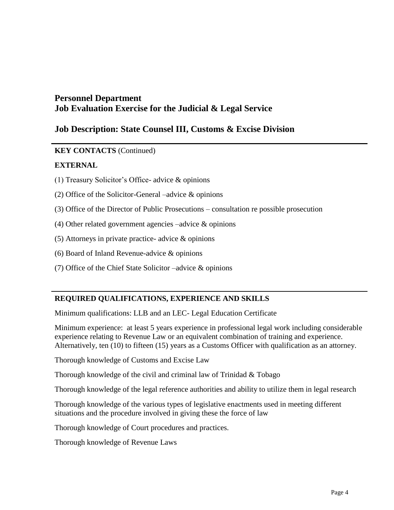## **Job Description: State Counsel III, Customs & Excise Division**

### **KEY CONTACTS** (Continued)

### **EXTERNAL**

- (1) Treasury Solicitor's Office- advice & opinions
- (2) Office of the Solicitor-General –advice & opinions
- (3) Office of the Director of Public Prosecutions consultation re possible prosecution
- (4) Other related government agencies –advice & opinions
- (5) Attorneys in private practice- advice & opinions
- (6) Board of Inland Revenue-advice & opinions
- (7) Office of the Chief State Solicitor –advice  $\&$  opinions

### **REQUIRED QUALIFICATIONS, EXPERIENCE AND SKILLS**

Minimum qualifications: LLB and an LEC- Legal Education Certificate

Minimum experience: at least 5 years experience in professional legal work including considerable experience relating to Revenue Law or an equivalent combination of training and experience. Alternatively, ten (10) to fifteen (15) years as a Customs Officer with qualification as an attorney.

Thorough knowledge of Customs and Excise Law

Thorough knowledge of the civil and criminal law of Trinidad & Tobago

Thorough knowledge of the legal reference authorities and ability to utilize them in legal research

Thorough knowledge of the various types of legislative enactments used in meeting different situations and the procedure involved in giving these the force of law

Thorough knowledge of Court procedures and practices.

Thorough knowledge of Revenue Laws